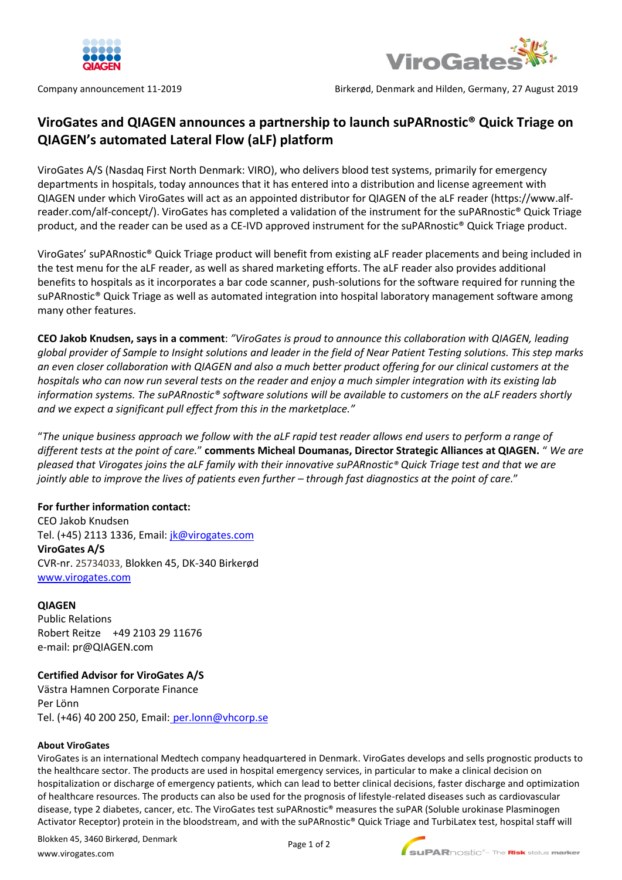



Company announcement 11-2019 Birkerød, Denmark and Hilden, Germany, 27 August 2019

# **ViroGates and QIAGEN announces a partnership to launch suPARnostic® Quick Triage on QIAGEN's automated Lateral Flow (aLF) platform**

ViroGates A/S (Nasdaq First North Denmark: VIRO), who delivers blood test systems, primarily for emergency departments in hospitals, today announces that it has entered into a distribution and license agreement with QIAGEN under which ViroGates will act as an appointed distributor for QIAGEN of the aLF reader [\(https://www.alf](https://www.alf-reader.com/alf-concept/)[reader.com/alf-concept/\)](https://www.alf-reader.com/alf-concept/). ViroGates has completed a validation of the instrument for the suPARnostic® Quick Triage product, and the reader can be used as a CE-IVD approved instrument for the suPARnostic® Quick Triage product.

ViroGates' suPARnostic® Quick Triage product will benefit from existing aLF reader placements and being included in the test menu for the aLF reader, as well as shared marketing efforts. The aLF reader also provides additional benefits to hospitals as it incorporates a bar code scanner, push-solutions for the software required for running the suPARnostic® Quick Triage as well as automated integration into hospital laboratory management software among many other features.

**CEO Jakob Knudsen, says in a comment**: *"ViroGates is proud to announce this collaboration with QIAGEN, leading global provider of Sample to Insight solutions and leader in the field of Near Patient Testing solutions. This step marks an even closer collaboration with QIAGEN and also a much better product offering for our clinical customers at the hospitals who can now run several tests on the reader and enjoy a much simpler integration with its existing lab information systems. The suPARnostic® software solutions will be available to customers on the aLF readers shortly and we expect a significant pull effect from this in the marketplace."*

"*The unique business approach we follow with the aLF rapid test reader allows end users to perform a range of different tests at the point of care.*" **comments Micheal Doumanas, Director Strategic Alliances at QIAGEN.** " *We are pleased that Virogates joins the aLF family with their innovative suPARnostic® Quick Triage test and that we are jointly able to improve the lives of patients even further – through fast diagnostics at the point of care.*"

## **For further information contact:**

CEO Jakob Knudsen Tel. (+45) 2113 1336, Email: [jk@virogates.com](mailto:jk@virogates.com) **ViroGates A/S** CVR-nr. 25734033, Blokken 45, DK-340 Birkerød [www.virogates.com](http://www.virogates.com/)

## **QIAGEN**

Public Relations Robert Reitze +49 2103 29 11676 e-mail: pr@QIAGEN.com

## **Certified Advisor for ViroGates A/S**

Västra Hamnen Corporate Finance Per Lönn Tel. (+46) 40 200 250, Email: [per.lonn@vhcorp.se](mailto:per.lonn@vhcorp.se)

#### **About ViroGates**

ViroGates is an international Medtech company headquartered in Denmark. ViroGates develops and sells prognostic products to the healthcare sector. The products are used in hospital emergency services, in particular to make a clinical decision on hospitalization or discharge of emergency patients, which can lead to better clinical decisions, faster discharge and optimization of healthcare resources. The products can also be used for the prognosis of lifestyle-related diseases such as cardiovascular disease, type 2 diabetes, cancer, etc. The ViroGates test suPARnostic® measures the suPAR (Soluble urokinase Plasminogen Activator Receptor) protein in the bloodstream, and with the suPARnostic® Quick Triage and TurbiLatex test, hospital staff will